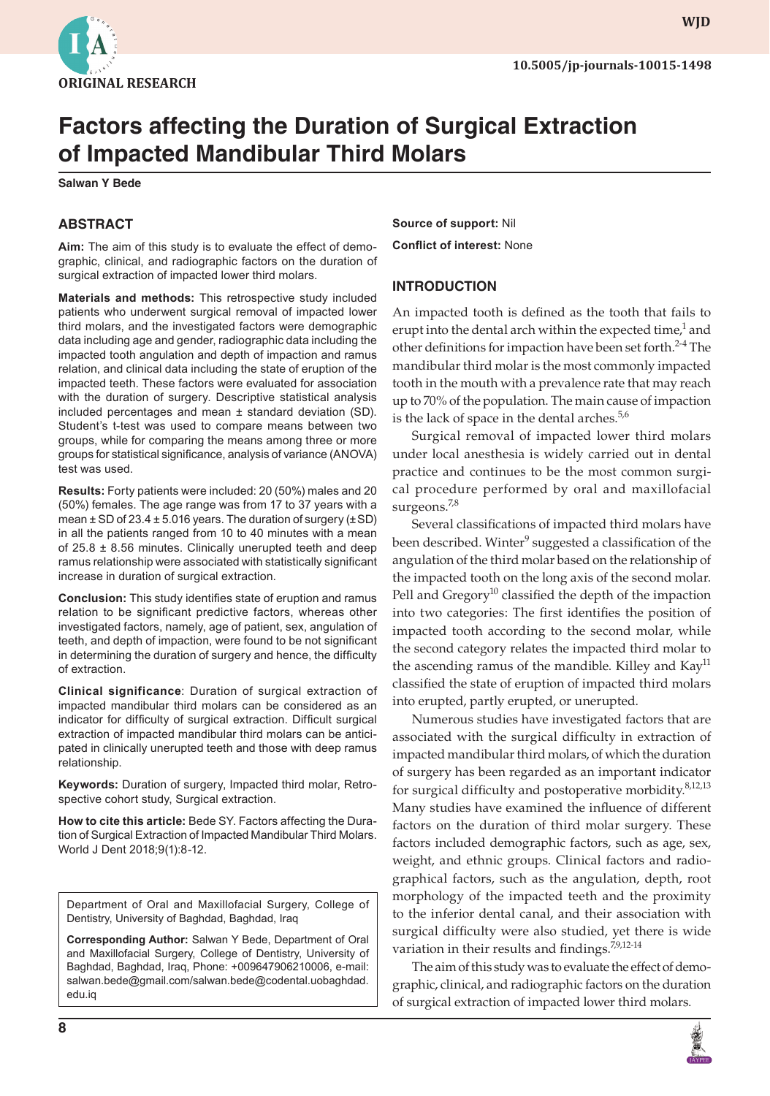

**wjd**

# **Factors affecting the Duration of Surgical Extraction of Impacted Mandibular Third Molars**

**Salwan Y Bede**

# **ABSTRACT**

**Aim:** The aim of this study is to evaluate the effect of demographic, clinical, and radiographic factors on the duration of surgical extraction of impacted lower third molars.

**Materials and methods:** This retrospective study included patients who underwent surgical removal of impacted lower third molars, and the investigated factors were demographic data including age and gender, radiographic data including the impacted tooth angulation and depth of impaction and ramus relation, and clinical data including the state of eruption of the impacted teeth. These factors were evaluated for association with the duration of surgery. Descriptive statistical analysis included percentages and mean ± standard deviation (SD). Student's t-test was used to compare means between two groups, while for comparing the means among three or more groups for statistical significance, analysis of variance (ANOVA) test was used.

**Results:** Forty patients were included: 20 (50%) males and 20 (50%) females. The age range was from 17 to 37 years with a mean  $\pm$  SD of 23.4  $\pm$  5.016 years. The duration of surgery ( $\pm$  SD) in all the patients ranged from 10 to 40 minutes with a mean of  $25.8 \pm 8.56$  minutes. Clinically unerupted teeth and deep ramus relationship were associated with statistically significant increase in duration of surgical extraction.

**Conclusion:** This study identifies state of eruption and ramus relation to be significant predictive factors, whereas other investigated factors, namely, age of patient, sex, angulation of teeth, and depth of impaction, were found to be not significant in determining the duration of surgery and hence, the difficulty of extraction.

**Clinical significance**: Duration of surgical extraction of impacted mandibular third molars can be considered as an indicator for difficulty of surgical extraction. Difficult surgical extraction of impacted mandibular third molars can be anticipated in clinically unerupted teeth and those with deep ramus relationship.

**Keywords:** Duration of surgery, Impacted third molar, Retrospective cohort study, Surgical extraction.

**How to cite this article:** Bede SY. Factors affecting the Duration of Surgical Extraction of Impacted Mandibular Third Molars. World J Dent 2018;9(1):8-12.

Department of Oral and Maxillofacial Surgery, College of Dentistry, University of Baghdad, Baghdad, Iraq

**Corresponding Author:** Salwan Y Bede, Department of Oral and Maxillofacial Surgery, College of Dentistry, University of Baghdad, Baghdad, Iraq, Phone: +009647906210006, e-mail: salwan.bede@gmail.com/salwan.bede@codental.uobaghdad. edu.iq

**Source of support:** Nil **Conflict of interest:** None

## **INTRODUCTION**

An impacted tooth is defined as the tooth that fails to erupt into the dental arch within the expected time, $^1$  and other definitions for impaction have been set forth. $2-4$  The mandibular third molar is the most commonly impacted tooth in the mouth with a prevalence rate that may reach up to 70% of the population. The main cause of impaction is the lack of space in the dental arches. $5.56$ 

Surgical removal of impacted lower third molars under local anesthesia is widely carried out in dental practice and continues to be the most common surgical procedure performed by oral and maxillofacial surgeons.<sup>7,8</sup>

Several classifications of impacted third molars have been described. Winter<sup>9</sup> suggested a classification of the angulation of the third molar based on the relationship of the impacted tooth on the long axis of the second molar. Pell and Gregory<sup>10</sup> classified the depth of the impaction into two categories: The first identifies the position of impacted tooth according to the second molar, while the second category relates the impacted third molar to the ascending ramus of the mandible. Killey and  $\text{Kay}^{11}$ classified the state of eruption of impacted third molars into erupted, partly erupted, or unerupted.

Numerous studies have investigated factors that are associated with the surgical difficulty in extraction of impacted mandibular third molars, of which the duration of surgery has been regarded as an important indicator for surgical difficulty and postoperative morbidity.<sup>8,12,13</sup> Many studies have examined the influence of different factors on the duration of third molar surgery. These factors included demographic factors, such as age, sex, weight, and ethnic groups. Clinical factors and radiographical factors, such as the angulation, depth, root morphology of the impacted teeth and the proximity to the inferior dental canal, and their association with surgical difficulty were also studied, yet there is wide variation in their results and findings.<sup>7,9,12-14</sup>

The aim of this study was to evaluate the effect of demographic, clinical, and radiographic factors on the duration of surgical extraction of impacted lower third molars.

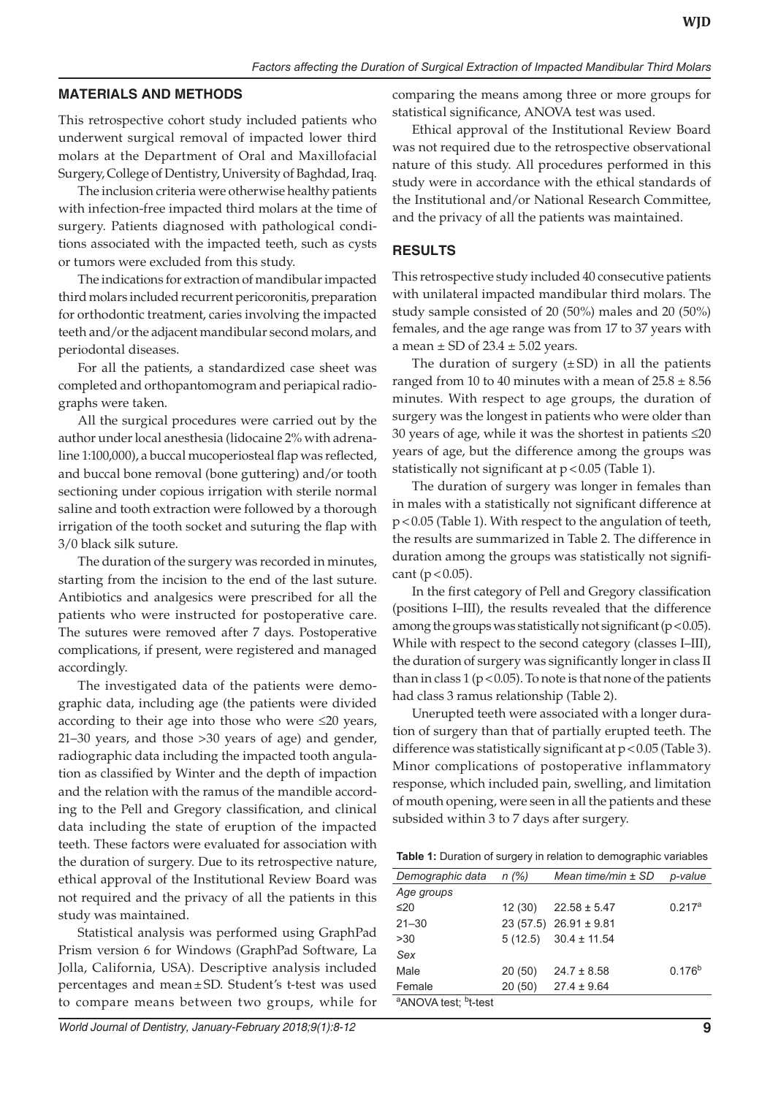#### **MATERIALS AND METHODS**

This retrospective cohort study included patients who underwent surgical removal of impacted lower third molars at the Department of Oral and Maxillofacial Surgery, College of Dentistry, University of Baghdad, Iraq.

The inclusion criteria were otherwise healthy patients with infection-free impacted third molars at the time of surgery. Patients diagnosed with pathological conditions associated with the impacted teeth, such as cysts or tumors were excluded from this study.

The indications for extraction of mandibular impacted third molars included recurrent pericoronitis, preparation for orthodontic treatment, caries involving the impacted teeth and/or the adjacent mandibular second molars, and periodontal diseases.

For all the patients, a standardized case sheet was completed and orthopantomogram and periapical radiographs were taken.

All the surgical procedures were carried out by the author under local anesthesia (lidocaine 2% with adrenaline 1:100,000), a buccal mucoperiosteal flap was reflected, and buccal bone removal (bone guttering) and/or tooth sectioning under copious irrigation with sterile normal saline and tooth extraction were followed by a thorough irrigation of the tooth socket and suturing the flap with 3/0 black silk suture.

The duration of the surgery was recorded in minutes, starting from the incision to the end of the last suture. Antibiotics and analgesics were prescribed for all the patients who were instructed for postoperative care. The sutures were removed after 7 days. Postoperative complications, if present, were registered and managed accordingly.

The investigated data of the patients were demographic data, including age (the patients were divided according to their age into those who were ≤20 years, 21–30 years, and those >30 years of age) and gender, radiographic data including the impacted tooth angulation as classified by Winter and the depth of impaction and the relation with the ramus of the mandible according to the Pell and Gregory classification, and clinical data including the state of eruption of the impacted teeth. These factors were evaluated for association with the duration of surgery. Due to its retrospective nature, ethical approval of the Institutional Review Board was not required and the privacy of all the patients in this study was maintained.

Statistical analysis was performed using GraphPad Prism version 6 for Windows (GraphPad Software, La Jolla, California, USA). Descriptive analysis included percentages and mean±SD. Student's t-test was used to compare means between two groups, while for

comparing the means among three or more groups for statistical significance, ANOVA test was used.

Ethical approval of the Institutional Review Board was not required due to the retrospective observational nature of this study. All procedures performed in this study were in accordance with the ethical standards of the Institutional and/or National Research Committee, and the privacy of all the patients was maintained.

## **RESULTS**

This retrospective study included 40 consecutive patients with unilateral impacted mandibular third molars. The study sample consisted of 20 (50%) males and 20 (50%) females, and the age range was from 17 to 37 years with a mean  $\pm$  SD of 23.4  $\pm$  5.02 years.

The duration of surgery  $(\pm SD)$  in all the patients ranged from 10 to 40 minutes with a mean of  $25.8 \pm 8.56$ minutes. With respect to age groups, the duration of surgery was the longest in patients who were older than 30 years of age, while it was the shortest in patients ≤20 years of age, but the difference among the groups was statistically not significant at  $p < 0.05$  (Table 1).

The duration of surgery was longer in females than in males with a statistically not significant difference at p<0.05 (Table 1). With respect to the angulation of teeth, the results are summarized in Table 2. The difference in duration among the groups was statistically not significant ( $p < 0.05$ ).

In the first category of Pell and Gregory classification (positions I–III), the results revealed that the difference among the groups was statistically not significant ( $p < 0.05$ ). While with respect to the second category (classes I–III), the duration of surgery was significantly longer in class II than in class  $1 (p < 0.05)$ . To note is that none of the patients had class 3 ramus relationship (Table 2).

Unerupted teeth were associated with a longer duration of surgery than that of partially erupted teeth. The difference was statistically significant at p<0.05 (Table 3). Minor complications of postoperative inflammatory response, which included pain, swelling, and limitation of mouth opening, were seen in all the patients and these subsided within 3 to 7 days after surgery.

**Table 1:** Duration of surgery in relation to demographic variables

| Demographic data                             | n(%)   | Mean time/min ± SD          | p-value     |
|----------------------------------------------|--------|-----------------------------|-------------|
| Age groups                                   |        |                             |             |
| ≤20                                          | 12(30) | $22.58 \pm 5.47$            | $0.217^a$   |
| $21 - 30$                                    |        | $23(57.5)$ $26.91 \pm 9.81$ |             |
| >30                                          |        | $5(12.5)$ $30.4 \pm 11.54$  |             |
| Sex                                          |        |                             |             |
| Male                                         | 20(50) | $24.7 \pm 8.58$             | $0.176^{b}$ |
| Female                                       | 20(50) | $27.4 \pm 9.64$             |             |
| <sup>a</sup> ANOVA test; <sup>b</sup> t-test |        |                             |             |
|                                              |        |                             |             |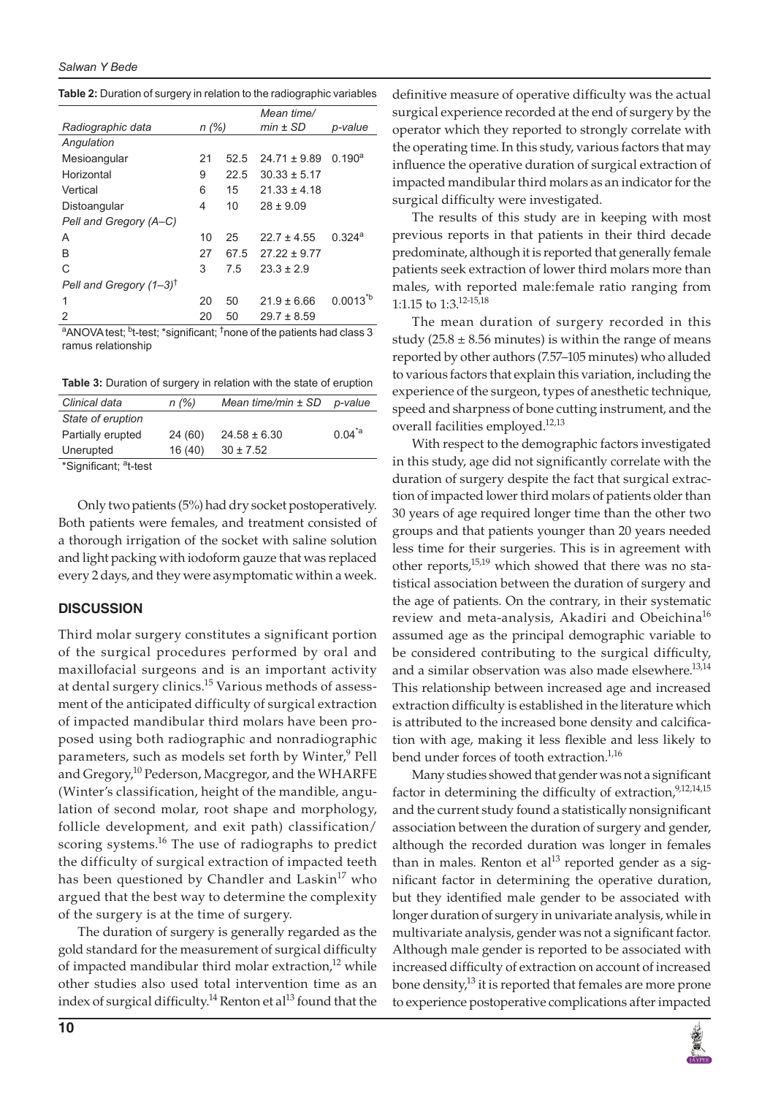|                                    |       |      | Mean time/       |                    |
|------------------------------------|-------|------|------------------|--------------------|
| Radiographic data                  | n (%) |      | $min \pm SD$     | p-value            |
| Angulation                         |       |      |                  |                    |
| Mesioangular                       | 21    | 52.5 | $24.71 \pm 9.89$ | 0.190 <sup>a</sup> |
| Horizontal                         | 9     | 22.5 | $30.33 \pm 5.17$ |                    |
| Vertical                           | 6     | 15   | $21.33 \pm 4.18$ |                    |
| Distoangular                       | 4     | 10   | $28 \pm 9.09$    |                    |
| Pell and Gregory (A-C)             |       |      |                  |                    |
| A                                  | 10    | 25   | $22.7 \pm 4.55$  | 0.324a             |
| B                                  | 27    | 67.5 | $27.22 \pm 9.77$ |                    |
| C                                  | 3     | 7.5  | $23.3 + 2.9$     |                    |
| Pell and Gregory $(1-3)^{\dagger}$ |       |      |                  |                    |
| 1                                  | 20    | 50   | $21.9 \pm 6.66$  | $0.0013^{b}$       |
| 2                                  | 20    | 50   | $29.7 \pm 8.59$  |                    |

**Table 2:** Duration of surgery in relation to the radiographic variables

<sup>a</sup>ANOVA test; <sup>b</sup>t-test; \*significant; <sup>†</sup>none of the patients had class 3 ramus relationship

**Table 3:** Duration of surgery in relation with the state of eruption

| Clinical data     | n(%)    | Mean time/min $\pm$ SD | p-value      |
|-------------------|---------|------------------------|--------------|
| State of eruption |         |                        |              |
| Partially erupted | 24 (60) | $24.58 \pm 6.30$       | $0.04^{*}$ a |
| Unerupted         | 16(40)  | $30 \pm 7.52$          |              |
| .                 |         |                        |              |

\*Significant; <sup>a</sup>t-test

Only two patients (5%) had dry socket postoperatively. Both patients were females, and treatment consisted of a thorough irrigation of the socket with saline solution and light packing with iodoform gauze that was replaced every 2 days, and they were asymptomatic within a week.

#### **DISCUSSION**

Third molar surgery constitutes a significant portion of the surgical procedures performed by oral and maxillofacial surgeons and is an important activity at dental surgery clinics.<sup>15</sup> Various methods of assessment of the anticipated difficulty of surgical extraction of impacted mandibular third molars have been proposed using both radiographic and nonradiographic parameters, such as models set forth by Winter,<sup>9</sup> Pell and Gregory,<sup>10</sup> Pederson, Macgregor, and the WHARFE (Winter's classification, height of the mandible, angulation of second molar, root shape and morphology, follicle development, and exit path) classification/ scoring systems.<sup>16</sup> The use of radiographs to predict the difficulty of surgical extraction of impacted teeth has been questioned by Chandler and Laskin<sup>17</sup> who argued that the best way to determine the complexity of the surgery is at the time of surgery.

The duration of surgery is generally regarded as the gold standard for the measurement of surgical difficulty of impacted mandibular third molar extraction, $12$  while other studies also used total intervention time as an index of surgical difficulty.<sup>14</sup> Renton et al<sup>13</sup> found that the

definitive measure of operative difficulty was the actual surgical experience recorded at the end of surgery by the operator which they reported to strongly correlate with the operating time. In this study, various factors that may influence the operative duration of surgical extraction of impacted mandibular third molars as an indicator for the surgical difficulty were investigated.

The results of this study are in keeping with most previous reports in that patients in their third decade predominate, although it is reported that generally female patients seek extraction of lower third molars more than males, with reported male:female ratio ranging from 1:1.15 to 1:3.12-15,18

The mean duration of surgery recorded in this study (25.8  $\pm$  8.56 minutes) is within the range of means reported by other authors (7.57–105 minutes) who alluded to various factors that explain this variation, including the experience of the surgeon, types of anesthetic technique, speed and sharpness of bone cutting instrument, and the overall facilities employed.<sup>12,13</sup>

With respect to the demographic factors investigated in this study, age did not significantly correlate with the duration of surgery despite the fact that surgical extraction of impacted lower third molars of patients older than 30 years of age required longer time than the other two groups and that patients younger than 20 years needed less time for their surgeries. This is in agreement with other reports, $15,19$  which showed that there was no statistical association between the duration of surgery and the age of patients. On the contrary, in their systematic review and meta-analysis, Akadiri and Obeichina<sup>16</sup> assumed age as the principal demographic variable to be considered contributing to the surgical difficulty, and a similar observation was also made elsewhere.<sup>13,14</sup> This relationship between increased age and increased extraction difficulty is established in the literature which is attributed to the increased bone density and calcification with age, making it less flexible and less likely to bend under forces of tooth extraction.<sup>1,16</sup>

Many studies showed that gender was not a significant factor in determining the difficulty of extraction,  $9,12,14,15$ and the current study found a statistically nonsignificant association between the duration of surgery and gender, although the recorded duration was longer in females than in males. Renton et al<sup>13</sup> reported gender as a significant factor in determining the operative duration, but they identified male gender to be associated with longer duration of surgery in univariate analysis, while in multivariate analysis, gender was not a significant factor. Although male gender is reported to be associated with increased difficulty of extraction on account of increased bone density, $^{13}$  it is reported that females are more prone to experience postoperative complications after impacted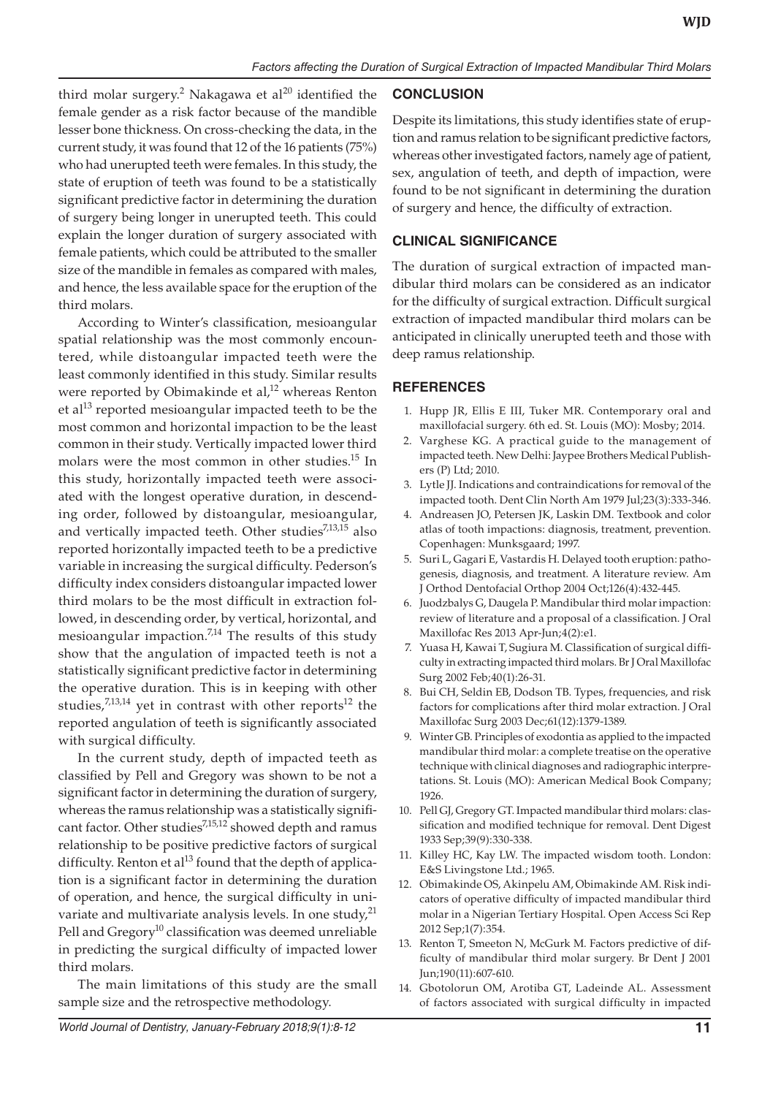third molar surgery.<sup>2</sup> Nakagawa et al<sup>20</sup> identified the female gender as a risk factor because of the mandible lesser bone thickness. On cross-checking the data, in the current study, it was found that 12 of the 16 patients (75%) who had unerupted teeth were females. In this study, the state of eruption of teeth was found to be a statistically significant predictive factor in determining the duration of surgery being longer in unerupted teeth. This could explain the longer duration of surgery associated with female patients, which could be attributed to the smaller size of the mandible in females as compared with males, and hence, the less available space for the eruption of the third molars.

According to Winter's classification, mesioangular spatial relationship was the most commonly encountered, while distoangular impacted teeth were the least commonly identified in this study. Similar results were reported by Obimakinde et al, $^{12}$  whereas Renton et al<sup>13</sup> reported mesioangular impacted teeth to be the most common and horizontal impaction to be the least common in their study. Vertically impacted lower third molars were the most common in other studies.<sup>15</sup> In this study, horizontally impacted teeth were associated with the longest operative duration, in descending order, followed by distoangular, mesioangular, and vertically impacted teeth. Other studies<sup>7,13,15</sup> also reported horizontally impacted teeth to be a predictive variable in increasing the surgical difficulty. Pederson's difficulty index considers distoangular impacted lower third molars to be the most difficult in extraction followed, in descending order, by vertical, horizontal, and mesioangular impaction.<sup>7,14</sup> The results of this study show that the angulation of impacted teeth is not a statistically significant predictive factor in determining the operative duration. This is in keeping with other studies, $7,13,14$  yet in contrast with other reports<sup>12</sup> the reported angulation of teeth is significantly associated with surgical difficulty.

In the current study, depth of impacted teeth as classified by Pell and Gregory was shown to be not a significant factor in determining the duration of surgery, whereas the ramus relationship was a statistically significant factor. Other studies<sup>7,15,12</sup> showed depth and ramus relationship to be positive predictive factors of surgical difficulty. Renton et al<sup>13</sup> found that the depth of application is a significant factor in determining the duration of operation, and hence, the surgical difficulty in univariate and multivariate analysis levels. In one study, $^{21}$ Pell and Gregory<sup>10</sup> classification was deemed unreliable in predicting the surgical difficulty of impacted lower third molars.

The main limitations of this study are the small sample size and the retrospective methodology.

# **CONCLUSION**

Despite its limitations, this study identifies state of eruption and ramus relation to be significant predictive factors, whereas other investigated factors, namely age of patient, sex, angulation of teeth, and depth of impaction, were found to be not significant in determining the duration of surgery and hence, the difficulty of extraction.

# **Clinical Significance**

The duration of surgical extraction of impacted mandibular third molars can be considered as an indicator for the difficulty of surgical extraction. Difficult surgical extraction of impacted mandibular third molars can be anticipated in clinically unerupted teeth and those with deep ramus relationship.

## **REFERENCES**

- 1. Hupp JR, Ellis E III, Tuker MR. Contemporary oral and maxillofacial surgery. 6th ed. St. Louis (MO): Mosby; 2014.
- 2. Varghese KG. A practical guide to the management of impacted teeth. New Delhi: Jaypee Brothers Medical Publishers (P) Ltd; 2010.
- 3. Lytle JJ. Indications and contraindications for removal of the impacted tooth. Dent Clin North Am 1979 Jul;23(3):333-346.
- 4. Andreasen JO, Petersen JK, Laskin DM. Textbook and color atlas of tooth impactions: diagnosis, treatment, prevention. Copenhagen: Munksgaard; 1997.
- 5. Suri L, Gagari E, Vastardis H. Delayed tooth eruption: pathogenesis, diagnosis, and treatment. A literature review. Am J Orthod Dentofacial Orthop 2004 Oct;126(4):432-445.
- 6. Juodzbalys G, Daugela P. Mandibular third molar impaction: review of literature and a proposal of a classification. J Oral Maxillofac Res 2013 Apr-Jun;4(2):e1.
- 7. Yuasa H, Kawai T, Sugiura M. Classification of surgical difficulty in extracting impacted third molars. Br J Oral Maxillofac Surg 2002 Feb;40(1):26-31.
- 8. Bui CH, Seldin EB, Dodson TB. Types, frequencies, and risk factors for complications after third molar extraction. J Oral Maxillofac Surg 2003 Dec;61(12):1379-1389.
- 9. Winter GB. Principles of exodontia as applied to the impacted mandibular third molar: a complete treatise on the operative technique with clinical diagnoses and radiographic interpretations. St. Louis (MO): American Medical Book Company; 1926.
- 10. Pell GJ, Gregory GT. Impacted mandibular third molars: classification and modified technique for removal. Dent Digest 1933 Sep;39(9):330-338.
- 11. Killey HC, Kay LW. The impacted wisdom tooth. London: E&S Livingstone Ltd.; 1965.
- 12. Obimakinde OS, Akinpelu AM, Obimakinde AM. Risk indicators of operative difficulty of impacted mandibular third molar in a Nigerian Tertiary Hospital. Open Access Sci Rep 2012 Sep;1(7):354.
- 13. Renton T, Smeeton N, McGurk M. Factors predictive of difficulty of mandibular third molar surgery. Br Dent J 2001 Jun;190(11):607-610.
- 14. Gbotolorun OM, Arotiba GT, Ladeinde AL. Assessment of factors associated with surgical difficulty in impacted